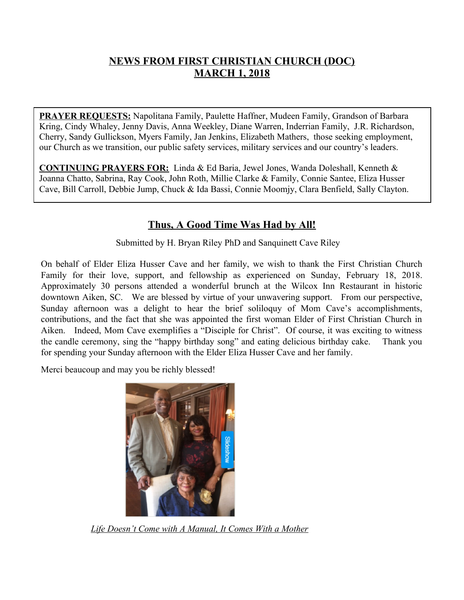## **NEWS FROM FIRST CHRISTIAN CHURCH (DOC) MARCH 1, 2018**

**PRAYER REQUESTS:** Napolitana Family, Paulette Haffner, Mudeen Family, Grandson of Barbara Kring, Cindy Whaley, Jenny Davis, Anna Weekley, Diane Warren, Inderrian Family, J.R. Richardson, Cherry, Sandy Gullickson, Myers Family, Jan Jenkins, Elizabeth Mathers, those seeking employment, our Church as we transition, our public safety services, military services and our country's leaders.

**CONTINUING PRAYERS FOR:** Linda & Ed Baria, Jewel Jones, Wanda Doleshall, Kenneth & Joanna Chatto, Sabrina, Ray Cook, John Roth, Millie Clarke & Family, Connie Santee, Eliza Husser Cave, Bill Carroll, Debbie Jump, Chuck & Ida Bassi, Connie Moomjy, Clara Benfield, Sally Clayton.

## **Thus, A Good Time Was Had by All!**

Submitted by H. Bryan Riley PhD and Sanquinett Cave Riley

On behalf of Elder Eliza Husser Cave and her family, we wish to thank the First Christian Church Family for their love, support, and fellowship as experienced on Sunday, February 18, 2018. Approximately 30 persons attended a wonderful brunch at the Wilcox Inn Restaurant in historic downtown Aiken, SC. We are blessed by virtue of your unwavering support. From our perspective, Sunday afternoon was a delight to hear the brief soliloquy of Mom Cave's accomplishments, contributions, and the fact that she was appointed the first woman Elder of First Christian Church in Aiken. Indeed, Mom Cave exemplifies a "Disciple for Christ". Of course, it was exciting to witness the candle ceremony, sing the "happy birthday song" and eating delicious birthday cake. Thank you for spending your Sunday afternoon with the Elder Eliza Husser Cave and her family.

Merci beaucoup and may you be richly blessed!



*Life Doesn't Come with A Manual, It Comes With a Mother*